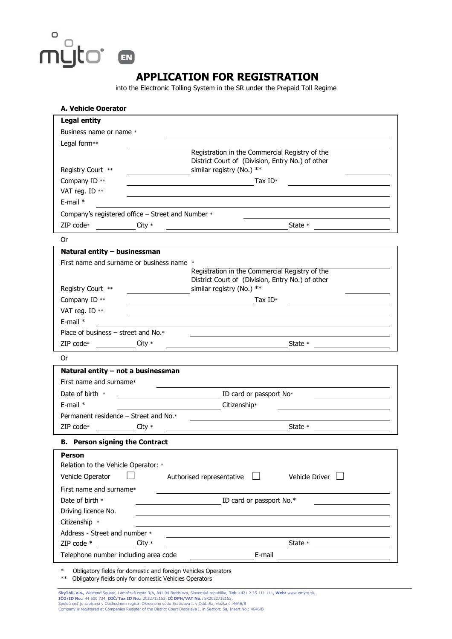APPLICATION FOR REGISTRATION

 $\hbox{\large\it o}$ 

muto

EN

into the Electronic Tolling System in the SR under the Prepaid Toll Regime

| <b>Legal entity</b>                               |          |                                                                                                                                                                                                                                                                                                                                                                                                                                                                                 |
|---------------------------------------------------|----------|---------------------------------------------------------------------------------------------------------------------------------------------------------------------------------------------------------------------------------------------------------------------------------------------------------------------------------------------------------------------------------------------------------------------------------------------------------------------------------|
| Business name or name *                           |          |                                                                                                                                                                                                                                                                                                                                                                                                                                                                                 |
| Legal form**                                      |          |                                                                                                                                                                                                                                                                                                                                                                                                                                                                                 |
|                                                   |          | Registration in the Commercial Registry of the                                                                                                                                                                                                                                                                                                                                                                                                                                  |
|                                                   |          | District Court of (Division, Entry No.) of other                                                                                                                                                                                                                                                                                                                                                                                                                                |
| Registry Court **                                 |          | similar registry (No.) **                                                                                                                                                                                                                                                                                                                                                                                                                                                       |
| Company ID **                                     |          | Tax $ID*$                                                                                                                                                                                                                                                                                                                                                                                                                                                                       |
| VAT reg. ID **                                    |          |                                                                                                                                                                                                                                                                                                                                                                                                                                                                                 |
| $E$ -mail $*$                                     |          |                                                                                                                                                                                                                                                                                                                                                                                                                                                                                 |
| Company's registered office - Street and Number * |          |                                                                                                                                                                                                                                                                                                                                                                                                                                                                                 |
| $ZIP$ code $*$                                    | City $*$ | State *<br><u> 1980 - Johann Barn, mars ann an t-Amhain Aonaich an t-Aonaich an t-Aonaich ann an t-Aonaich ann an t-Aonaich</u>                                                                                                                                                                                                                                                                                                                                                 |
| 0r                                                |          |                                                                                                                                                                                                                                                                                                                                                                                                                                                                                 |
| Natural entity - businessman                      |          |                                                                                                                                                                                                                                                                                                                                                                                                                                                                                 |
| First name and surname or business name *         |          |                                                                                                                                                                                                                                                                                                                                                                                                                                                                                 |
|                                                   |          | Registration in the Commercial Registry of the                                                                                                                                                                                                                                                                                                                                                                                                                                  |
| Registry Court **                                 |          | District Court of (Division, Entry No.) of other<br>similar registry (No.) **                                                                                                                                                                                                                                                                                                                                                                                                   |
| Company ID **                                     |          |                                                                                                                                                                                                                                                                                                                                                                                                                                                                                 |
|                                                   |          | $\overline{\phantom{a}}$ $\overline{\phantom{a}}$ $\overline{\phantom{a}}$ $\overline{\phantom{a}}$ $\overline{\phantom{a}}$ $\overline{\phantom{a}}$ $\overline{\phantom{a}}$ $\overline{\phantom{a}}$ $\overline{\phantom{a}}$ $\overline{\phantom{a}}$ $\overline{\phantom{a}}$ $\overline{\phantom{a}}$ $\overline{\phantom{a}}$ $\overline{\phantom{a}}$ $\overline{\phantom{a}}$ $\overline{\phantom{a}}$ $\overline{\phantom{a}}$ $\overline{\phantom{a}}$ $\overline{\$ |
| VAT reg. ID **                                    |          |                                                                                                                                                                                                                                                                                                                                                                                                                                                                                 |
| $E$ -mail $*$                                     |          |                                                                                                                                                                                                                                                                                                                                                                                                                                                                                 |
| Place of business $-$ street and No. $*$          |          |                                                                                                                                                                                                                                                                                                                                                                                                                                                                                 |
| ZIP code $*$                                      | $City *$ | State *                                                                                                                                                                                                                                                                                                                                                                                                                                                                         |
| 0r                                                |          |                                                                                                                                                                                                                                                                                                                                                                                                                                                                                 |
| Natural entity - not a businessman                |          |                                                                                                                                                                                                                                                                                                                                                                                                                                                                                 |
| First name and surname*                           |          |                                                                                                                                                                                                                                                                                                                                                                                                                                                                                 |
| Date of birth $*$                                 |          | ID card or passport No <sup>*</sup>                                                                                                                                                                                                                                                                                                                                                                                                                                             |
| E-mail $*$                                        |          | <b>Citizenship*</b>                                                                                                                                                                                                                                                                                                                                                                                                                                                             |
| Permanent residence - Street and No.*             |          |                                                                                                                                                                                                                                                                                                                                                                                                                                                                                 |
| ZIP code $*$                                      | City $*$ | State $*$                                                                                                                                                                                                                                                                                                                                                                                                                                                                       |
| <b>B.</b> Person signing the Contract             |          |                                                                                                                                                                                                                                                                                                                                                                                                                                                                                 |
| <b>Person</b>                                     |          |                                                                                                                                                                                                                                                                                                                                                                                                                                                                                 |
| Relation to the Vehicle Operator: *               |          |                                                                                                                                                                                                                                                                                                                                                                                                                                                                                 |
| Vehicle Operator                                  |          | $\vert \ \vert$<br>Vehicle Driver $\Box$<br>Authorised representative                                                                                                                                                                                                                                                                                                                                                                                                           |
| First name and surname*                           |          |                                                                                                                                                                                                                                                                                                                                                                                                                                                                                 |
| Date of birth *                                   |          | ID card or passport No.*                                                                                                                                                                                                                                                                                                                                                                                                                                                        |
| Driving licence No.                               |          |                                                                                                                                                                                                                                                                                                                                                                                                                                                                                 |
| Citizenship *                                     |          |                                                                                                                                                                                                                                                                                                                                                                                                                                                                                 |
|                                                   |          |                                                                                                                                                                                                                                                                                                                                                                                                                                                                                 |
| Address - Street and number *<br>ZIP code *       |          | State *                                                                                                                                                                                                                                                                                                                                                                                                                                                                         |
|                                                   | City $*$ |                                                                                                                                                                                                                                                                                                                                                                                                                                                                                 |
| Telephone number including area code              |          | <b>E-mail</b>                                                                                                                                                                                                                                                                                                                                                                                                                                                                   |

\*\* Obligatory fields only for domestic Vehicles Operators

**SkyToll, a.s.,** Westend Square, Lamačská cesta 3/A, 841 04 Bratislava, Slovenská republika, **Tel:** +421 2 35 111 111, **Web:** www.emyto.sk,<br>**IČO/ID No.: 44 5**00 734, **DIČ/Tax ID No.:** 2022712153, **IČ DPH/VAT No.:** SK202271